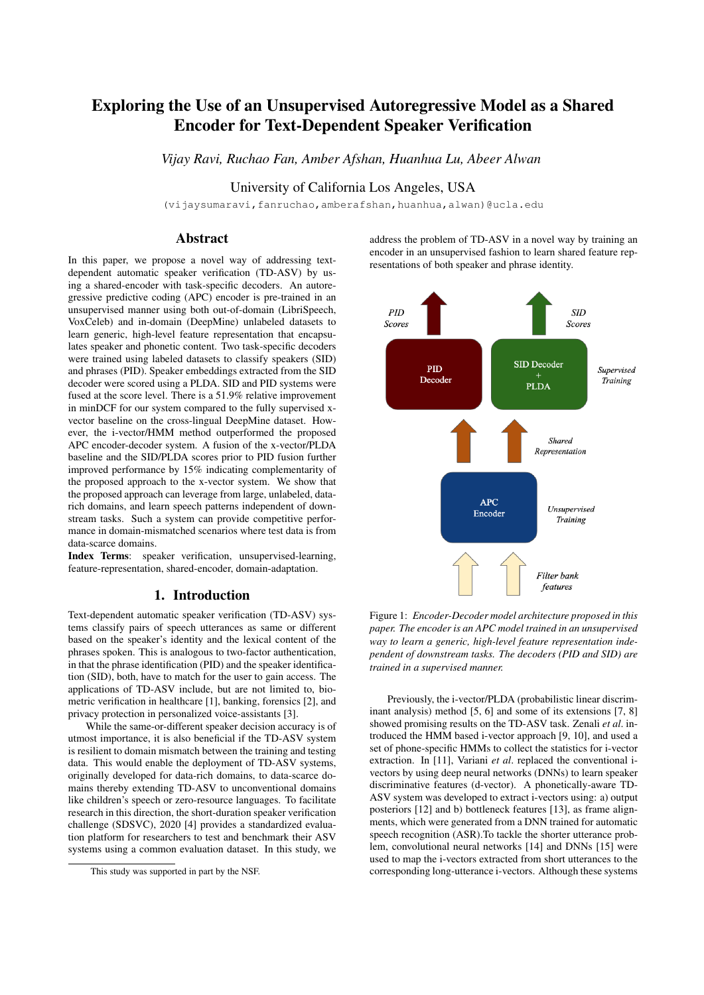# Exploring the Use of an Unsupervised Autoregressive Model as a Shared Encoder for Text-Dependent Speaker Verification

*Vijay Ravi, Ruchao Fan, Amber Afshan, Huanhua Lu, Abeer Alwan*

University of California Los Angeles, USA

(vijaysumaravi,fanruchao,amberafshan,huanhua,alwan)@ucla.edu

# Abstract

In this paper, we propose a novel way of addressing textdependent automatic speaker verification (TD-ASV) by using a shared-encoder with task-specific decoders. An autoregressive predictive coding (APC) encoder is pre-trained in an unsupervised manner using both out-of-domain (LibriSpeech, VoxCeleb) and in-domain (DeepMine) unlabeled datasets to learn generic, high-level feature representation that encapsulates speaker and phonetic content. Two task-specific decoders were trained using labeled datasets to classify speakers (SID) and phrases (PID). Speaker embeddings extracted from the SID decoder were scored using a PLDA. SID and PID systems were fused at the score level. There is a 51.9% relative improvement in minDCF for our system compared to the fully supervised xvector baseline on the cross-lingual DeepMine dataset. However, the i-vector/HMM method outperformed the proposed APC encoder-decoder system. A fusion of the x-vector/PLDA baseline and the SID/PLDA scores prior to PID fusion further improved performance by 15% indicating complementarity of the proposed approach to the x-vector system. We show that the proposed approach can leverage from large, unlabeled, datarich domains, and learn speech patterns independent of downstream tasks. Such a system can provide competitive performance in domain-mismatched scenarios where test data is from data-scarce domains.

Index Terms: speaker verification, unsupervised-learning, feature-representation, shared-encoder, domain-adaptation.

## 1. Introduction

Text-dependent automatic speaker verification (TD-ASV) systems classify pairs of speech utterances as same or different based on the speaker's identity and the lexical content of the phrases spoken. This is analogous to two-factor authentication, in that the phrase identification (PID) and the speaker identification (SID), both, have to match for the user to gain access. The applications of TD-ASV include, but are not limited to, biometric verification in healthcare [1], banking, forensics [2], and privacy protection in personalized voice-assistants [3].

While the same-or-different speaker decision accuracy is of utmost importance, it is also beneficial if the TD-ASV system is resilient to domain mismatch between the training and testing data. This would enable the deployment of TD-ASV systems, originally developed for data-rich domains, to data-scarce domains thereby extending TD-ASV to unconventional domains like children's speech or zero-resource languages. To facilitate research in this direction, the short-duration speaker verification challenge (SDSVC), 2020 [4] provides a standardized evaluation platform for researchers to test and benchmark their ASV systems using a common evaluation dataset. In this study, we

This study was supported in part by the NSF.

address the problem of TD-ASV in a novel way by training an encoder in an unsupervised fashion to learn shared feature representations of both speaker and phrase identity.



Figure 1: *Encoder-Decoder model architecture proposed in this paper. The encoder is an APC model trained in an unsupervised way to learn a generic, high-level feature representation independent of downstream tasks. The decoders (PID and SID) are trained in a supervised manner.*

Previously, the i-vector/PLDA (probabilistic linear discriminant analysis) method [5, 6] and some of its extensions [7, 8] showed promising results on the TD-ASV task. Zenali *et al*. introduced the HMM based i-vector approach [9, 10], and used a set of phone-specific HMMs to collect the statistics for i-vector extraction. In [11], Variani *et al*. replaced the conventional ivectors by using deep neural networks (DNNs) to learn speaker discriminative features (d-vector). A phonetically-aware TD-ASV system was developed to extract i-vectors using: a) output posteriors [12] and b) bottleneck features [13], as frame alignments, which were generated from a DNN trained for automatic speech recognition (ASR).To tackle the shorter utterance problem, convolutional neural networks [14] and DNNs [15] were used to map the i-vectors extracted from short utterances to the corresponding long-utterance i-vectors. Although these systems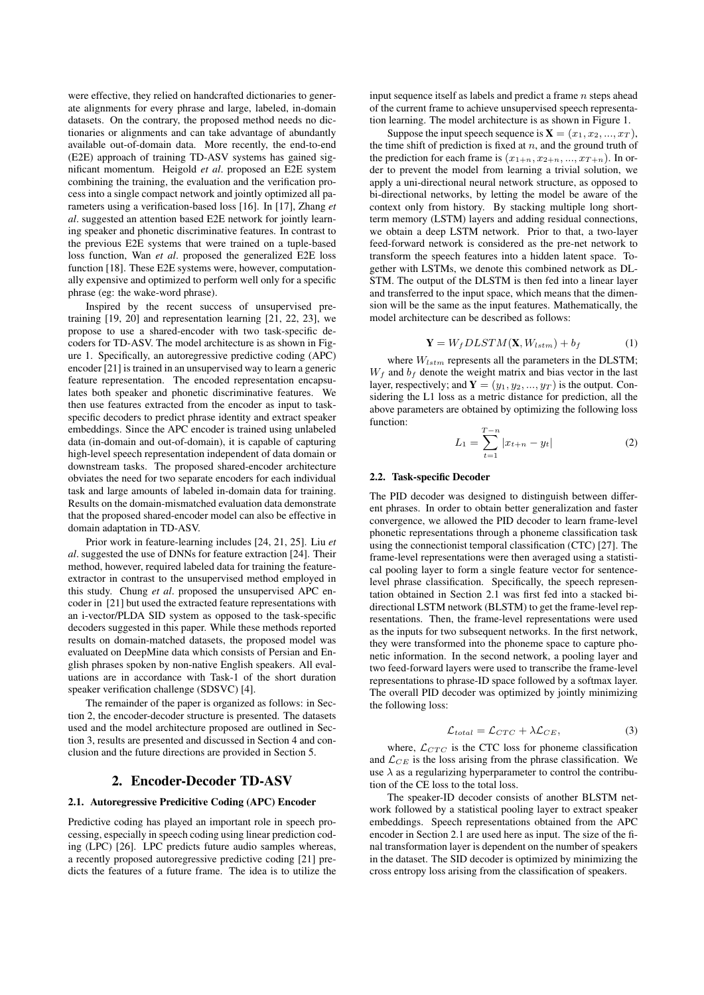were effective, they relied on handcrafted dictionaries to generate alignments for every phrase and large, labeled, in-domain datasets. On the contrary, the proposed method needs no dictionaries or alignments and can take advantage of abundantly available out-of-domain data. More recently, the end-to-end (E2E) approach of training TD-ASV systems has gained significant momentum. Heigold *et al*. proposed an E2E system combining the training, the evaluation and the verification process into a single compact network and jointly optimized all parameters using a verification-based loss [16]. In [17], Zhang *et al*. suggested an attention based E2E network for jointly learning speaker and phonetic discriminative features. In contrast to the previous E2E systems that were trained on a tuple-based loss function, Wan *et al*. proposed the generalized E2E loss function [18]. These E2E systems were, however, computationally expensive and optimized to perform well only for a specific phrase (eg: the wake-word phrase).

Inspired by the recent success of unsupervised pretraining  $[19, 20]$  and representation learning  $[21, 22, 23]$ , we propose to use a shared-encoder with two task-specific decoders for TD-ASV. The model architecture is as shown in Figure 1. Specifically, an autoregressive predictive coding (APC) encoder [21] is trained in an unsupervised way to learn a generic feature representation. The encoded representation encapsulates both speaker and phonetic discriminative features. We then use features extracted from the encoder as input to taskspecific decoders to predict phrase identity and extract speaker embeddings. Since the APC encoder is trained using unlabeled data (in-domain and out-of-domain), it is capable of capturing high-level speech representation independent of data domain or downstream tasks. The proposed shared-encoder architecture obviates the need for two separate encoders for each individual task and large amounts of labeled in-domain data for training. Results on the domain-mismatched evaluation data demonstrate that the proposed shared-encoder model can also be effective in domain adaptation in TD-ASV.

Prior work in feature-learning includes [24, 21, 25]. Liu *et al*. suggested the use of DNNs for feature extraction [24]. Their method, however, required labeled data for training the featureextractor in contrast to the unsupervised method employed in this study. Chung *et al*. proposed the unsupervised APC encoder in [21] but used the extracted feature representations with an i-vector/PLDA SID system as opposed to the task-specific decoders suggested in this paper. While these methods reported results on domain-matched datasets, the proposed model was evaluated on DeepMine data which consists of Persian and English phrases spoken by non-native English speakers. All evaluations are in accordance with Task-1 of the short duration speaker verification challenge (SDSVC) [4].

The remainder of the paper is organized as follows: in Section 2, the encoder-decoder structure is presented. The datasets used and the model architecture proposed are outlined in Section 3, results are presented and discussed in Section 4 and conclusion and the future directions are provided in Section 5.

## 2. Encoder-Decoder TD-ASV

#### 2.1. Autoregressive Predicitive Coding (APC) Encoder

Predictive coding has played an important role in speech processing, especially in speech coding using linear prediction coding (LPC) [26]. LPC predicts future audio samples whereas, a recently proposed autoregressive predictive coding [21] predicts the features of a future frame. The idea is to utilize the input sequence itself as labels and predict a frame  $n$  steps ahead of the current frame to achieve unsupervised speech representation learning. The model architecture is as shown in Figure 1.

Suppose the input speech sequence is  $X = (x_1, x_2, ..., x_T)$ , the time shift of prediction is fixed at  $n$ , and the ground truth of the prediction for each frame is  $(x_{1+n}, x_{2+n}, ..., x_{T+n})$ . In order to prevent the model from learning a trivial solution, we apply a uni-directional neural network structure, as opposed to bi-directional networks, by letting the model be aware of the context only from history. By stacking multiple long shortterm memory (LSTM) layers and adding residual connections, we obtain a deep LSTM network. Prior to that, a two-layer feed-forward network is considered as the pre-net network to transform the speech features into a hidden latent space. Together with LSTMs, we denote this combined network as DL-STM. The output of the DLSTM is then fed into a linear layer and transferred to the input space, which means that the dimension will be the same as the input features. Mathematically, the model architecture can be described as follows:

$$
\mathbf{Y} = W_f D LSTM(\mathbf{X}, W_{lstm}) + b_f \tag{1}
$$

where  $W_{lstm}$  represents all the parameters in the DLSTM;  $W_f$  and  $b_f$  denote the weight matrix and bias vector in the last layer, respectively; and  $Y = (y_1, y_2, ..., y_T)$  is the output. Considering the L1 loss as a metric distance for prediction, all the above parameters are obtained by optimizing the following loss function:

$$
L_1 = \sum_{t=1}^{T-n} |x_{t+n} - y_t|
$$
 (2)

#### 2.2. Task-specific Decoder

The PID decoder was designed to distinguish between different phrases. In order to obtain better generalization and faster convergence, we allowed the PID decoder to learn frame-level phonetic representations through a phoneme classification task using the connectionist temporal classification (CTC) [27]. The frame-level representations were then averaged using a statistical pooling layer to form a single feature vector for sentencelevel phrase classification. Specifically, the speech representation obtained in Section 2.1 was first fed into a stacked bidirectional LSTM network (BLSTM) to get the frame-level representations. Then, the frame-level representations were used as the inputs for two subsequent networks. In the first network, they were transformed into the phoneme space to capture phonetic information. In the second network, a pooling layer and two feed-forward layers were used to transcribe the frame-level representations to phrase-ID space followed by a softmax layer. The overall PID decoder was optimized by jointly minimizing the following loss:

$$
\mathcal{L}_{total} = \mathcal{L}_{CTC} + \lambda \mathcal{L}_{CE},\tag{3}
$$

where,  $\mathcal{L}_{CTC}$  is the CTC loss for phoneme classification and  $\mathcal{L}_{CE}$  is the loss arising from the phrase classification. We use  $\lambda$  as a regularizing hyperparameter to control the contribution of the CE loss to the total loss.

The speaker-ID decoder consists of another BLSTM network followed by a statistical pooling layer to extract speaker embeddings. Speech representations obtained from the APC encoder in Section 2.1 are used here as input. The size of the final transformation layer is dependent on the number of speakers in the dataset. The SID decoder is optimized by minimizing the cross entropy loss arising from the classification of speakers.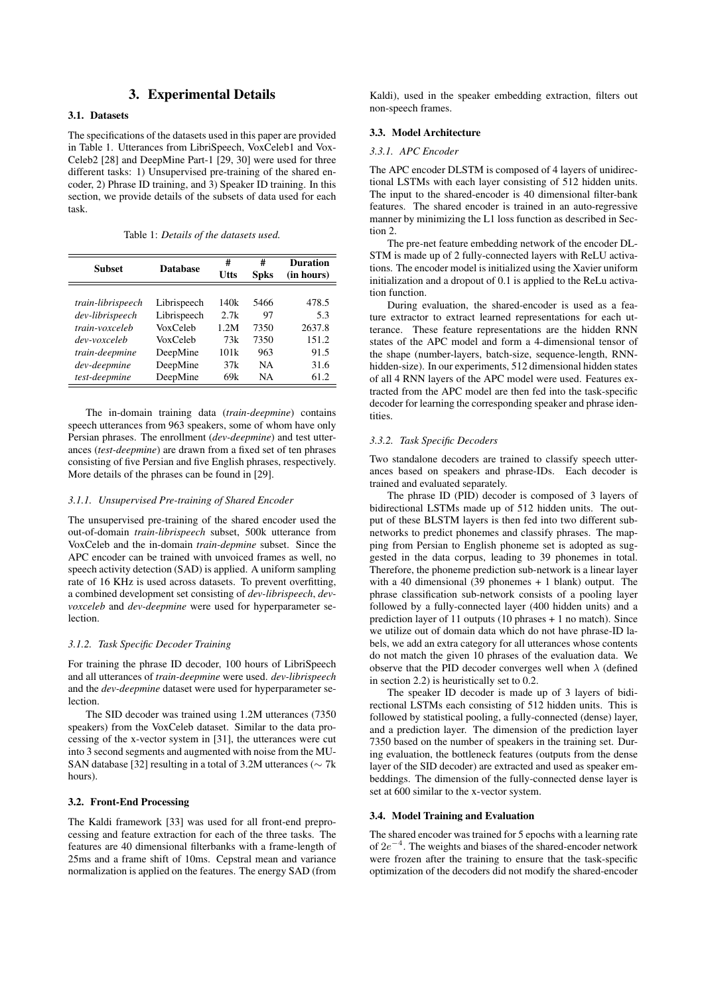# 3. Experimental Details

## 3.1. Datasets

The specifications of the datasets used in this paper are provided in Table 1. Utterances from LibriSpeech, VoxCeleb1 and Vox-Celeb2 [28] and DeepMine Part-1 [29, 30] were used for three different tasks: 1) Unsupervised pre-training of the shared encoder, 2) Phrase ID training, and 3) Speaker ID training. In this section, we provide details of the subsets of data used for each task.

Table 1: *Details of the datasets used.*

| <b>Subset</b>     | <b>Database</b> | #<br><b>Utts</b> | #<br><b>Spks</b> | <b>Duration</b><br>(in hours) |
|-------------------|-----------------|------------------|------------------|-------------------------------|
| train-librispeech | Librispeech     | 140k             | 5466             | 478.5                         |
| dev-librispeech   | Librispeech     | 2.7k             | 97               | 5.3                           |
| train-voxceleb    | VoxCeleb        | 1.2M             | 7350             | 2637.8                        |
| dev-voxceleb      | VoxCeleb        | 73k              | 7350             | 151.2                         |
| train-deepmine    | DeepMine        | 101k             | 963              | 91.5                          |
| dev-deepmine      | DeepMine        | 37k              | <b>NA</b>        | 31.6                          |
| test-deepmine     | DeepMine        | 69k              | NA               | 61.2                          |

The in-domain training data (*train-deepmine*) contains speech utterances from 963 speakers, some of whom have only Persian phrases. The enrollment (*dev-deepmine*) and test utterances (*test-deepmine*) are drawn from a fixed set of ten phrases consisting of five Persian and five English phrases, respectively. More details of the phrases can be found in [29].

#### *3.1.1. Unsupervised Pre-training of Shared Encoder*

The unsupervised pre-training of the shared encoder used the out-of-domain *train-librispeech* subset, 500k utterance from VoxCeleb and the in-domain *train-depmine* subset. Since the APC encoder can be trained with unvoiced frames as well, no speech activity detection (SAD) is applied. A uniform sampling rate of 16 KHz is used across datasets. To prevent overfitting, a combined development set consisting of *dev-librispeech*, *devvoxceleb* and *dev-deepmine* were used for hyperparameter selection.

#### *3.1.2. Task Specific Decoder Training*

For training the phrase ID decoder, 100 hours of LibriSpeech and all utterances of *train-deepmine* were used. *dev-librispeech* and the *dev-deepmine* dataset were used for hyperparameter selection.

The SID decoder was trained using 1.2M utterances (7350 speakers) from the VoxCeleb dataset. Similar to the data processing of the x-vector system in [31], the utterances were cut into 3 second segments and augmented with noise from the MU-SAN database [32] resulting in a total of 3.2M utterances ( $\sim$  7k hours).

#### 3.2. Front-End Processing

The Kaldi framework [33] was used for all front-end preprocessing and feature extraction for each of the three tasks. The features are 40 dimensional filterbanks with a frame-length of 25ms and a frame shift of 10ms. Cepstral mean and variance normalization is applied on the features. The energy SAD (from Kaldi), used in the speaker embedding extraction, filters out non-speech frames.

#### 3.3. Model Architecture

#### *3.3.1. APC Encoder*

The APC encoder DLSTM is composed of 4 layers of unidirectional LSTMs with each layer consisting of 512 hidden units. The input to the shared-encoder is 40 dimensional filter-bank features. The shared encoder is trained in an auto-regressive manner by minimizing the L1 loss function as described in Section 2.

The pre-net feature embedding network of the encoder DL-STM is made up of 2 fully-connected layers with ReLU activations. The encoder model is initialized using the Xavier uniform initialization and a dropout of 0.1 is applied to the ReLu activation function.

During evaluation, the shared-encoder is used as a feature extractor to extract learned representations for each utterance. These feature representations are the hidden RNN states of the APC model and form a 4-dimensional tensor of the shape (number-layers, batch-size, sequence-length, RNNhidden-size). In our experiments, 512 dimensional hidden states of all 4 RNN layers of the APC model were used. Features extracted from the APC model are then fed into the task-specific decoder for learning the corresponding speaker and phrase identities.

#### *3.3.2. Task Specific Decoders*

Two standalone decoders are trained to classify speech utterances based on speakers and phrase-IDs. Each decoder is trained and evaluated separately.

The phrase ID (PID) decoder is composed of 3 layers of bidirectional LSTMs made up of 512 hidden units. The output of these BLSTM layers is then fed into two different subnetworks to predict phonemes and classify phrases. The mapping from Persian to English phoneme set is adopted as suggested in the data corpus, leading to 39 phonemes in total. Therefore, the phoneme prediction sub-network is a linear layer with a 40 dimensional  $(39$  phonemes + 1 blank) output. The phrase classification sub-network consists of a pooling layer followed by a fully-connected layer (400 hidden units) and a prediction layer of 11 outputs (10 phrases + 1 no match). Since we utilize out of domain data which do not have phrase-ID labels, we add an extra category for all utterances whose contents do not match the given 10 phrases of the evaluation data. We observe that the PID decoder converges well when  $\lambda$  (defined in section 2.2) is heuristically set to 0.2.

The speaker ID decoder is made up of 3 layers of bidirectional LSTMs each consisting of 512 hidden units. This is followed by statistical pooling, a fully-connected (dense) layer, and a prediction layer. The dimension of the prediction layer 7350 based on the number of speakers in the training set. During evaluation, the bottleneck features (outputs from the dense layer of the SID decoder) are extracted and used as speaker embeddings. The dimension of the fully-connected dense layer is set at 600 similar to the x-vector system.

#### 3.4. Model Training and Evaluation

The shared encoder was trained for 5 epochs with a learning rate of  $2e^{-4}$ . The weights and biases of the shared-encoder network were frozen after the training to ensure that the task-specific optimization of the decoders did not modify the shared-encoder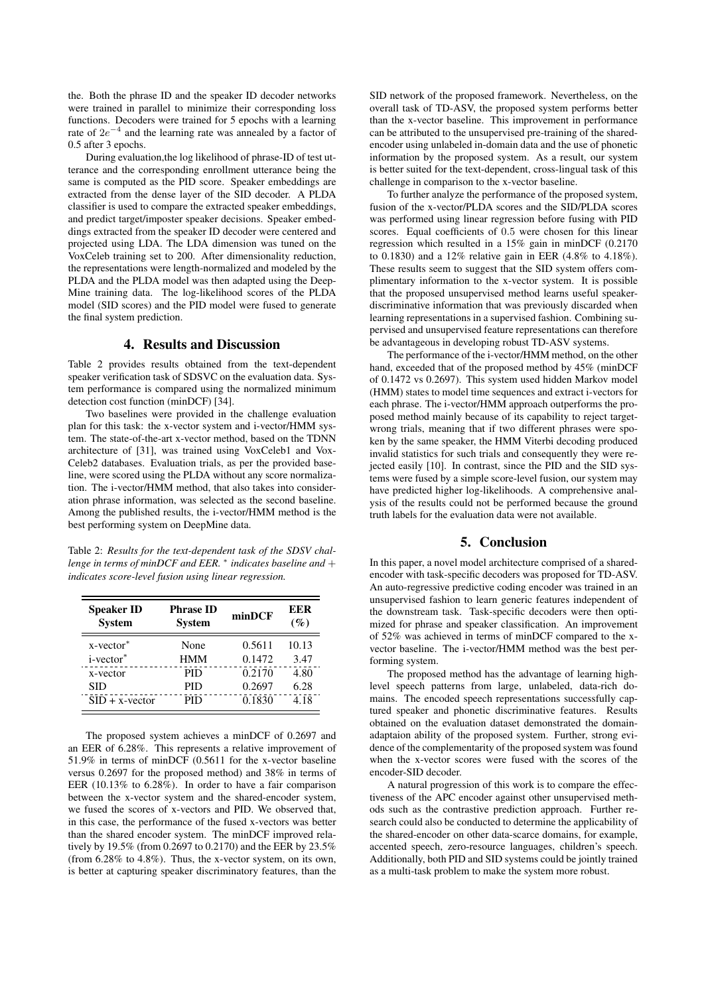the. Both the phrase ID and the speaker ID decoder networks were trained in parallel to minimize their corresponding loss functions. Decoders were trained for 5 epochs with a learning rate of  $2e^{-4}$  and the learning rate was annealed by a factor of 0.5 after 3 epochs.

During evaluation,the log likelihood of phrase-ID of test utterance and the corresponding enrollment utterance being the same is computed as the PID score. Speaker embeddings are extracted from the dense layer of the SID decoder. A PLDA classifier is used to compare the extracted speaker embeddings, and predict target/imposter speaker decisions. Speaker embeddings extracted from the speaker ID decoder were centered and projected using LDA. The LDA dimension was tuned on the VoxCeleb training set to 200. After dimensionality reduction, the representations were length-normalized and modeled by the PLDA and the PLDA model was then adapted using the Deep-Mine training data. The log-likelihood scores of the PLDA model (SID scores) and the PID model were fused to generate the final system prediction.

# 4. Results and Discussion

Table 2 provides results obtained from the text-dependent speaker verification task of SDSVC on the evaluation data. System performance is compared using the normalized minimum detection cost function (minDCF) [34].

Two baselines were provided in the challenge evaluation plan for this task: the x-vector system and i-vector/HMM system. The state-of-the-art x-vector method, based on the TDNN architecture of [31], was trained using VoxCeleb1 and Vox-Celeb2 databases. Evaluation trials, as per the provided baseline, were scored using the PLDA without any score normalization. The i-vector/HMM method, that also takes into consideration phrase information, was selected as the second baseline. Among the published results, the i-vector/HMM method is the best performing system on DeepMine data.

Table 2: *Results for the text-dependent task of the SDSV challenge in terms of minDCF and EER.* <sup>∗</sup> *indicates baseline and* + *indicates score-level fusion using linear regression.*

| <b>Speaker ID</b><br><b>System</b> | <b>Phrase ID</b><br><b>System</b> | minDCF | EER<br>$(\%)$ |
|------------------------------------|-----------------------------------|--------|---------------|
| $x$ -vector $*$                    | None                              | 0.5611 | 10.13         |
| $i$ -vector $*$                    | <b>HMM</b>                        | 0.1472 | 3.47          |
| x-vector                           | PID                               | 0.2170 | 4.80          |
| <b>SID</b>                         | PID                               | 0.2697 | 6.28          |
| $SID + x-vector$                   | PID                               | 0.1830 | 4.18          |

The proposed system achieves a minDCF of 0.2697 and an EER of 6.28%. This represents a relative improvement of 51.9% in terms of minDCF (0.5611 for the x-vector baseline versus 0.2697 for the proposed method) and 38% in terms of EER (10.13% to 6.28%). In order to have a fair comparison between the x-vector system and the shared-encoder system, we fused the scores of x-vectors and PID. We observed that, in this case, the performance of the fused x-vectors was better than the shared encoder system. The minDCF improved relatively by 19.5% (from 0.2697 to 0.2170) and the EER by 23.5% (from 6.28% to 4.8%). Thus, the x-vector system, on its own, is better at capturing speaker discriminatory features, than the SID network of the proposed framework. Nevertheless, on the overall task of TD-ASV, the proposed system performs better than the x-vector baseline. This improvement in performance can be attributed to the unsupervised pre-training of the sharedencoder using unlabeled in-domain data and the use of phonetic information by the proposed system. As a result, our system is better suited for the text-dependent, cross-lingual task of this challenge in comparison to the x-vector baseline.

To further analyze the performance of the proposed system, fusion of the x-vector/PLDA scores and the SID/PLDA scores was performed using linear regression before fusing with PID scores. Equal coefficients of 0.5 were chosen for this linear regression which resulted in a 15% gain in minDCF (0.2170 to 0.1830) and a 12% relative gain in EER (4.8% to 4.18%). These results seem to suggest that the SID system offers complimentary information to the x-vector system. It is possible that the proposed unsupervised method learns useful speakerdiscriminative information that was previously discarded when learning representations in a supervised fashion. Combining supervised and unsupervised feature representations can therefore be advantageous in developing robust TD-ASV systems.

The performance of the i-vector/HMM method, on the other hand, exceeded that of the proposed method by 45% (minDCF of 0.1472 vs 0.2697). This system used hidden Markov model (HMM) states to model time sequences and extract i-vectors for each phrase. The i-vector/HMM approach outperforms the proposed method mainly because of its capability to reject targetwrong trials, meaning that if two different phrases were spoken by the same speaker, the HMM Viterbi decoding produced invalid statistics for such trials and consequently they were rejected easily [10]. In contrast, since the PID and the SID systems were fused by a simple score-level fusion, our system may have predicted higher log-likelihoods. A comprehensive analysis of the results could not be performed because the ground truth labels for the evaluation data were not available.

# 5. Conclusion

In this paper, a novel model architecture comprised of a sharedencoder with task-specific decoders was proposed for TD-ASV. An auto-regressive predictive coding encoder was trained in an unsupervised fashion to learn generic features independent of the downstream task. Task-specific decoders were then optimized for phrase and speaker classification. An improvement of 52% was achieved in terms of minDCF compared to the xvector baseline. The i-vector/HMM method was the best performing system.

The proposed method has the advantage of learning highlevel speech patterns from large, unlabeled, data-rich domains. The encoded speech representations successfully captured speaker and phonetic discriminative features. Results obtained on the evaluation dataset demonstrated the domainadaptaion ability of the proposed system. Further, strong evidence of the complementarity of the proposed system was found when the x-vector scores were fused with the scores of the encoder-SID decoder.

A natural progression of this work is to compare the effectiveness of the APC encoder against other unsupervised methods such as the contrastive prediction approach. Further research could also be conducted to determine the applicability of the shared-encoder on other data-scarce domains, for example, accented speech, zero-resource languages, children's speech. Additionally, both PID and SID systems could be jointly trained as a multi-task problem to make the system more robust.